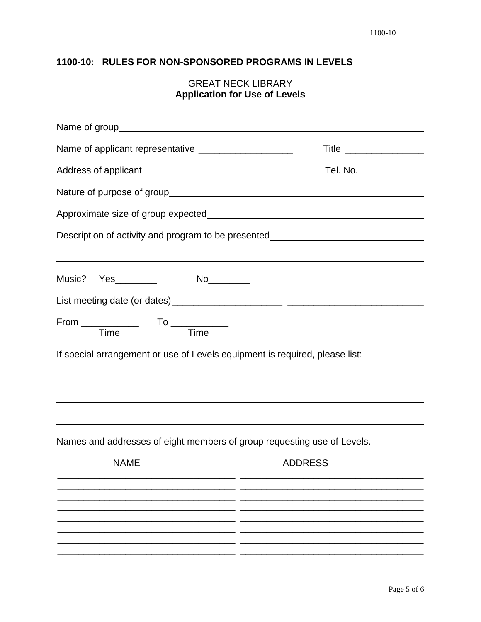## 1100-10: RULES FOR NON-SPONSORED PROGRAMS IN LEVELS

## **GREAT NECK LIBRARY Application for Use of Levels**

| Name of applicant representative ______________________                     | Title _________________                                                                                                                         |  |
|-----------------------------------------------------------------------------|-------------------------------------------------------------------------------------------------------------------------------------------------|--|
|                                                                             | Tel. No. ______________                                                                                                                         |  |
|                                                                             |                                                                                                                                                 |  |
|                                                                             |                                                                                                                                                 |  |
|                                                                             | Description of activity and program to be presented_____________________________<br><u> 1990 - Johann Stoff, amerikansk politiker (d. 1980)</u> |  |
|                                                                             |                                                                                                                                                 |  |
|                                                                             |                                                                                                                                                 |  |
| From Time To Time                                                           |                                                                                                                                                 |  |
| If special arrangement or use of Levels equipment is required, please list: |                                                                                                                                                 |  |
|                                                                             |                                                                                                                                                 |  |
| Names and addresses of eight members of group requesting use of Levels.     |                                                                                                                                                 |  |
| <b>NAME</b>                                                                 | <b>ADDRESS</b>                                                                                                                                  |  |
|                                                                             |                                                                                                                                                 |  |
|                                                                             |                                                                                                                                                 |  |
|                                                                             |                                                                                                                                                 |  |
|                                                                             |                                                                                                                                                 |  |